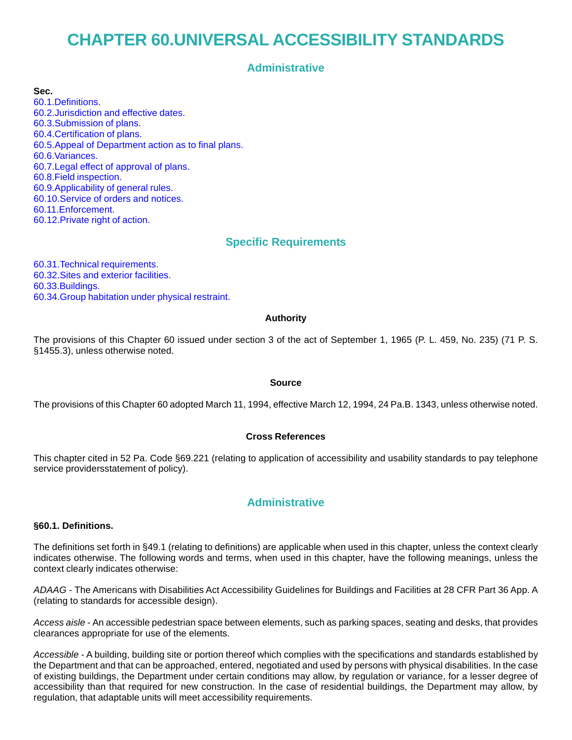## **CHAPTER 60.UNIVERSAL ACCESSIBILITY STANDARDS**

#### **Administrative**

**Sec.** 60.1.Definitions. [60.2.Jurisdiction and effective dates.](#page-3-0) [60.3.Submission of plans.](#page-5-0) [60.4.Certification of plans.](#page-5-0) [60.5.Appeal of Department action as to final plans.](#page-5-0) [60.6.Variances.](#page-5-0) [60.7.Legal effect of approval of plans.](#page-6-0) [60.8.Field inspection.](#page-6-0) [60.9.Applicability of general rules.](#page-6-0) [60.10.Service of orders and notices.](#page-6-0) [60.11.Enforcement.](#page-7-0) [60.12.Private right of action.](#page-8-0)

#### **Specific Requirements**

[60.31.Technical requirements.](#page-9-0) [60.32.Sites and exterior facilities.](#page-9-0) [60.33.Buildings.](#page-11-0) [60.34.Group habitation under physical restraint.](#page-14-0)

#### **Authority**

The provisions of this Chapter 60 issued under section 3 of the act of September 1, 1965 (P. L. 459, No. 235) (71 P. S. §1455.3), unless otherwise noted.

#### **Source**

The provisions of this Chapter 60 adopted March 11, 1994, effective March 12, 1994, 24 Pa.B. 1343, unless otherwise noted.

#### **Cross References**

This chapter cited in 52 Pa. Code §69.221 (relating to application of accessibility and usability standards to pay telephone service providersstatement of policy).

#### **Administrative**

#### **§60.1. Definitions.**

The definitions set forth in §49.1 (relating to definitions) are applicable when used in this chapter, unless the context clearly indicates otherwise. The following words and terms, when used in this chapter, have the following meanings, unless the context clearly indicates otherwise:

ADAAG - The Americans with Disabilities Act Accessibility Guidelines for Buildings and Facilities at 28 CFR Part 36 App. A (relating to standards for accessible design).

Access aisle - An accessible pedestrian space between elements, such as parking spaces, seating and desks, that provides clearances appropriate for use of the elements.

Accessible - A building, building site or portion thereof which complies with the specifications and standards established by the Department and that can be approached, entered, negotiated and used by persons with physical disabilities. In the case of existing buildings, the Department under certain conditions may allow, by regulation or variance, for a lesser degree of accessibility than that required for new construction. In the case of residential buildings, the Department may allow, by regulation, that adaptable units will meet accessibility requirements.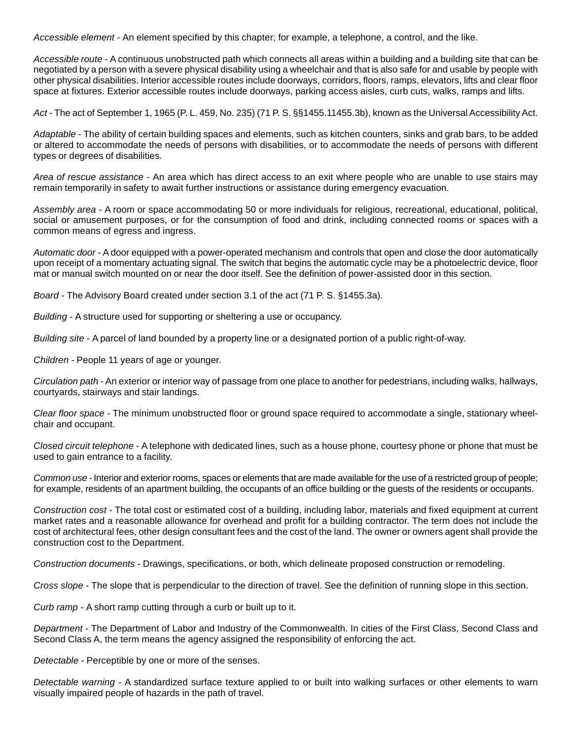Accessible element - An element specified by this chapter; for example, a telephone, a control, and the like.

Accessible route - A continuous unobstructed path which connects all areas within a building and a building site that can be negotiated by a person with a severe physical disability using a wheelchair and that is also safe for and usable by people with other physical disabilities. Interior accessible routes include doorways, corridors, floors, ramps, elevators, lifts and clear floor space at fixtures. Exterior accessible routes include doorways, parking access aisles, curb cuts, walks, ramps and lifts.

Act - The act of September 1, 1965 (P. L. 459, No. 235) (71 P. S. §§1455.11455.3b), known as the Universal Accessibility Act.

Adaptable - The ability of certain building spaces and elements, such as kitchen counters, sinks and grab bars, to be added or altered to accommodate the needs of persons with disabilities, or to accommodate the needs of persons with different types or degrees of disabilities.

Area of rescue assistance - An area which has direct access to an exit where people who are unable to use stairs may remain temporarily in safety to await further instructions or assistance during emergency evacuation.

Assembly area - A room or space accommodating 50 or more individuals for religious, recreational, educational, political, social or amusement purposes, or for the consumption of food and drink, including connected rooms or spaces with a common means of egress and ingress.

Automatic door - A door equipped with a power-operated mechanism and controls that open and close the door automatically upon receipt of a momentary actuating signal. The switch that begins the automatic cycle may be a photoelectric device, floor mat or manual switch mounted on or near the door itself. See the definition of power-assisted door in this section.

Board - The Advisory Board created under section 3.1 of the act (71 P. S. §1455.3a).

Building - A structure used for supporting or sheltering a use or occupancy.

Building site - A parcel of land bounded by a property line or a designated portion of a public right-of-way.

Children - People 11 years of age or younger.

Circulation path - An exterior or interior way of passage from one place to another for pedestrians, including walks, hallways, courtyards, stairways and stair landings.

Clear floor space - The minimum unobstructed floor or ground space required to accommodate a single, stationary wheelchair and occupant.

Closed circuit telephone - A telephone with dedicated lines, such as a house phone, courtesy phone or phone that must be used to gain entrance to a facility.

Common use - Interior and exterior rooms, spaces or elements that are made available for the use of a restricted group of people; for example, residents of an apartment building, the occupants of an office building or the guests of the residents or occupants.

Construction cost - The total cost or estimated cost of a building, including labor, materials and fixed equipment at current market rates and a reasonable allowance for overhead and profit for a building contractor. The term does not include the cost of architectural fees, other design consultant fees and the cost of the land. The owner or owners agent shall provide the construction cost to the Department.

Construction documents - Drawings, specifications, or both, which delineate proposed construction or remodeling.

Cross slope - The slope that is perpendicular to the direction of travel. See the definition of running slope in this section.

Curb ramp - A short ramp cutting through a curb or built up to it.

Department - The Department of Labor and Industry of the Commonwealth. In cities of the First Class, Second Class and Second Class A, the term means the agency assigned the responsibility of enforcing the act.

Detectable - Perceptible by one or more of the senses.

Detectable warning - A standardized surface texture applied to or built into walking surfaces or other elements to warn visually impaired people of hazards in the path of travel.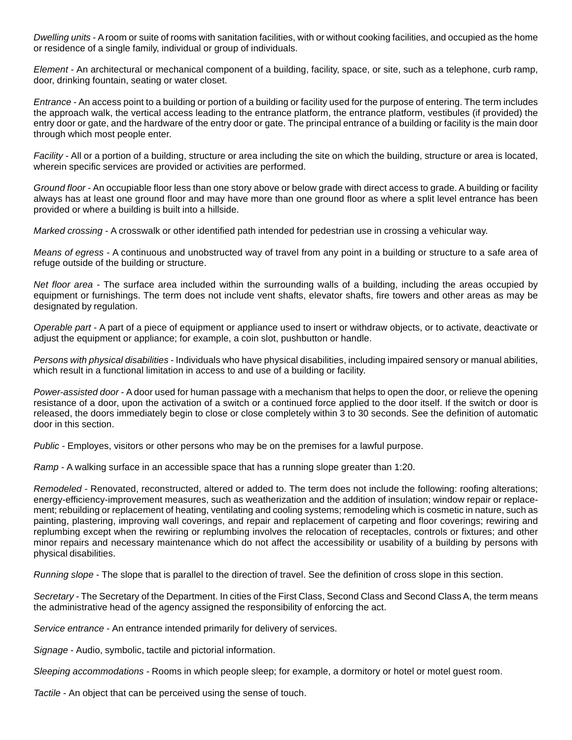Dwelling units - A room or suite of rooms with sanitation facilities, with or without cooking facilities, and occupied as the home or residence of a single family, individual or group of individuals.

Element - An architectural or mechanical component of a building, facility, space, or site, such as a telephone, curb ramp, door, drinking fountain, seating or water closet.

Entrance - An access point to a building or portion of a building or facility used for the purpose of entering. The term includes the approach walk, the vertical access leading to the entrance platform, the entrance platform, vestibules (if provided) the entry door or gate, and the hardware of the entry door or gate. The principal entrance of a building or facility is the main door through which most people enter.

Facility - All or a portion of a building, structure or area including the site on which the building, structure or area is located, wherein specific services are provided or activities are performed.

Ground floor - An occupiable floor less than one story above or below grade with direct access to grade. A building or facility always has at least one ground floor and may have more than one ground floor as where a split level entrance has been provided or where a building is built into a hillside.

Marked crossing - A crosswalk or other identified path intended for pedestrian use in crossing a vehicular way.

Means of egress - A continuous and unobstructed way of travel from any point in a building or structure to a safe area of refuge outside of the building or structure.

Net floor area - The surface area included within the surrounding walls of a building, including the areas occupied by equipment or furnishings. The term does not include vent shafts, elevator shafts, fire towers and other areas as may be designated by regulation.

Operable part - A part of a piece of equipment or appliance used to insert or withdraw objects, or to activate, deactivate or adjust the equipment or appliance; for example, a coin slot, pushbutton or handle.

Persons with physical disabilities - Individuals who have physical disabilities, including impaired sensory or manual abilities, which result in a functional limitation in access to and use of a building or facility.

Power-assisted door - A door used for human passage with a mechanism that helps to open the door, or relieve the opening resistance of a door, upon the activation of a switch or a continued force applied to the door itself. If the switch or door is released, the doors immediately begin to close or close completely within 3 to 30 seconds. See the definition of automatic door in this section.

Public - Employes, visitors or other persons who may be on the premises for a lawful purpose.

Ramp - A walking surface in an accessible space that has a running slope greater than 1:20.

Remodeled - Renovated, reconstructed, altered or added to. The term does not include the following: roofing alterations; energy-efficiency-improvement measures, such as weatherization and the addition of insulation; window repair or replacement; rebuilding or replacement of heating, ventilating and cooling systems; remodeling which is cosmetic in nature, such as painting, plastering, improving wall coverings, and repair and replacement of carpeting and floor coverings; rewiring and replumbing except when the rewiring or replumbing involves the relocation of receptacles, controls or fixtures; and other minor repairs and necessary maintenance which do not affect the accessibility or usability of a building by persons with physical disabilities.

Running slope - The slope that is parallel to the direction of travel. See the definition of cross slope in this section.

Secretary - The Secretary of the Department. In cities of the First Class, Second Class and Second Class A, the term means the administrative head of the agency assigned the responsibility of enforcing the act.

Service entrance - An entrance intended primarily for delivery of services.

Signage - Audio, symbolic, tactile and pictorial information.

Sleeping accommodations - Rooms in which people sleep; for example, a dormitory or hotel or motel quest room.

Tactile - An object that can be perceived using the sense of touch.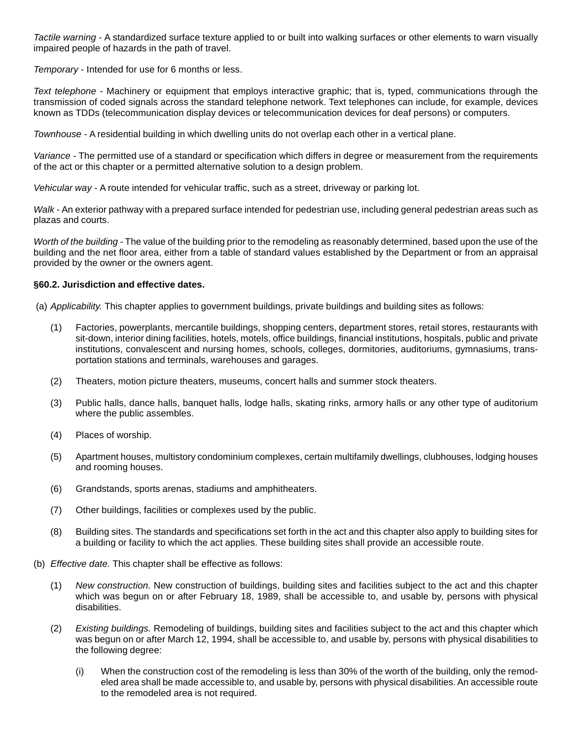<span id="page-3-0"></span>Tactile warning - A standardized surface texture applied to or built into walking surfaces or other elements to warn visually impaired people of hazards in the path of travel.

Temporary - Intended for use for 6 months or less.

Text telephone - Machinery or equipment that employs interactive graphic; that is, typed, communications through the transmission of coded signals across the standard telephone network. Text telephones can include, for example, devices known as TDDs (telecommunication display devices or telecommunication devices for deaf persons) or computers.

Townhouse - A residential building in which dwelling units do not overlap each other in a vertical plane.

Variance - The permitted use of a standard or specification which differs in degree or measurement from the requirements of the act or this chapter or a permitted alternative solution to a design problem.

Vehicular way - A route intended for vehicular traffic, such as a street, driveway or parking lot.

Walk - An exterior pathway with a prepared surface intended for pedestrian use, including general pedestrian areas such as plazas and courts.

Worth of the building - The value of the building prior to the remodeling as reasonably determined, based upon the use of the building and the net floor area, either from a table of standard values established by the Department or from an appraisal provided by the owner or the owners agent.

#### **§60.2. Jurisdiction and effective dates.**

(a) Applicability. This chapter applies to government buildings, private buildings and building sites as follows:

- (1) Factories, powerplants, mercantile buildings, shopping centers, department stores, retail stores, restaurants with sit-down, interior dining facilities, hotels, motels, office buildings, financial institutions, hospitals, public and private institutions, convalescent and nursing homes, schools, colleges, dormitories, auditoriums, gymnasiums, transportation stations and terminals, warehouses and garages.
- (2) Theaters, motion picture theaters, museums, concert halls and summer stock theaters.
- (3) Public halls, dance halls, banquet halls, lodge halls, skating rinks, armory halls or any other type of auditorium where the public assembles.
- (4) Places of worship.
- (5) Apartment houses, multistory condominium complexes, certain multifamily dwellings, clubhouses, lodging houses and rooming houses.
- (6) Grandstands, sports arenas, stadiums and amphitheaters.
- (7) Other buildings, facilities or complexes used by the public.
- (8) Building sites. The standards and specifications set forth in the act and this chapter also apply to building sites for a building or facility to which the act applies. These building sites shall provide an accessible route.
- (b) Effective date. This chapter shall be effective as follows:
	- (1) New construction. New construction of buildings, building sites and facilities subject to the act and this chapter which was begun on or after February 18, 1989, shall be accessible to, and usable by, persons with physical disabilities.
	- (2) Existing buildings. Remodeling of buildings, building sites and facilities subject to the act and this chapter which was begun on or after March 12, 1994, shall be accessible to, and usable by, persons with physical disabilities to the following degree:
		- (i) When the construction cost of the remodeling is less than 30% of the worth of the building, only the remodeled area shall be made accessible to, and usable by, persons with physical disabilities. An accessible route to the remodeled area is not required.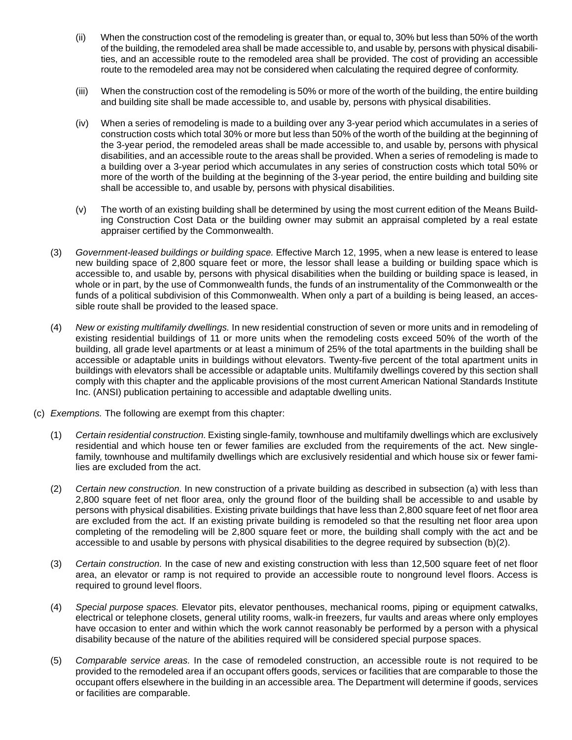- (ii) When the construction cost of the remodeling is greater than, or equal to, 30% but less than 50% of the worth of the building, the remodeled area shall be made accessible to, and usable by, persons with physical disabilities, and an accessible route to the remodeled area shall be provided. The cost of providing an accessible route to the remodeled area may not be considered when calculating the required degree of conformity.
- (iii) When the construction cost of the remodeling is 50% or more of the worth of the building, the entire building and building site shall be made accessible to, and usable by, persons with physical disabilities.
- (iv) When a series of remodeling is made to a building over any 3-year period which accumulates in a series of construction costs which total 30% or more but less than 50% of the worth of the building at the beginning of the 3-year period, the remodeled areas shall be made accessible to, and usable by, persons with physical disabilities, and an accessible route to the areas shall be provided. When a series of remodeling is made to a building over a 3-year period which accumulates in any series of construction costs which total 50% or more of the worth of the building at the beginning of the 3-year period, the entire building and building site shall be accessible to, and usable by, persons with physical disabilities.
- (v) The worth of an existing building shall be determined by using the most current edition of the Means Building Construction Cost Data or the building owner may submit an appraisal completed by a real estate appraiser certified by the Commonwealth.
- (3) Government-leased buildings or building space. Effective March 12, 1995, when a new lease is entered to lease new building space of 2,800 square feet or more, the lessor shall lease a building or building space which is accessible to, and usable by, persons with physical disabilities when the building or building space is leased, in whole or in part, by the use of Commonwealth funds, the funds of an instrumentality of the Commonwealth or the funds of a political subdivision of this Commonwealth. When only a part of a building is being leased, an accessible route shall be provided to the leased space.
- (4) New or existing multifamily dwellings. In new residential construction of seven or more units and in remodeling of existing residential buildings of 11 or more units when the remodeling costs exceed 50% of the worth of the building, all grade level apartments or at least a minimum of 25% of the total apartments in the building shall be accessible or adaptable units in buildings without elevators. Twenty-five percent of the total apartment units in buildings with elevators shall be accessible or adaptable units. Multifamily dwellings covered by this section shall comply with this chapter and the applicable provisions of the most current American National Standards Institute Inc. (ANSI) publication pertaining to accessible and adaptable dwelling units.
- (c) Exemptions. The following are exempt from this chapter:
	- (1) Certain residential construction. Existing single-family, townhouse and multifamily dwellings which are exclusively residential and which house ten or fewer families are excluded from the requirements of the act. New singlefamily, townhouse and multifamily dwellings which are exclusively residential and which house six or fewer families are excluded from the act.
	- (2) Certain new construction. In new construction of a private building as described in subsection (a) with less than 2,800 square feet of net floor area, only the ground floor of the building shall be accessible to and usable by persons with physical disabilities. Existing private buildings that have less than 2,800 square feet of net floor area are excluded from the act. If an existing private building is remodeled so that the resulting net floor area upon completing of the remodeling will be 2,800 square feet or more, the building shall comply with the act and be accessible to and usable by persons with physical disabilities to the degree required by subsection (b)(2).
	- (3) Certain construction. In the case of new and existing construction with less than 12,500 square feet of net floor area, an elevator or ramp is not required to provide an accessible route to nonground level floors. Access is required to ground level floors.
	- (4) Special purpose spaces. Elevator pits, elevator penthouses, mechanical rooms, piping or equipment catwalks, electrical or telephone closets, general utility rooms, walk-in freezers, fur vaults and areas where only employes have occasion to enter and within which the work cannot reasonably be performed by a person with a physical disability because of the nature of the abilities required will be considered special purpose spaces.
	- (5) Comparable service areas. In the case of remodeled construction, an accessible route is not required to be provided to the remodeled area if an occupant offers goods, services or facilities that are comparable to those the occupant offers elsewhere in the building in an accessible area. The Department will determine if goods, services or facilities are comparable.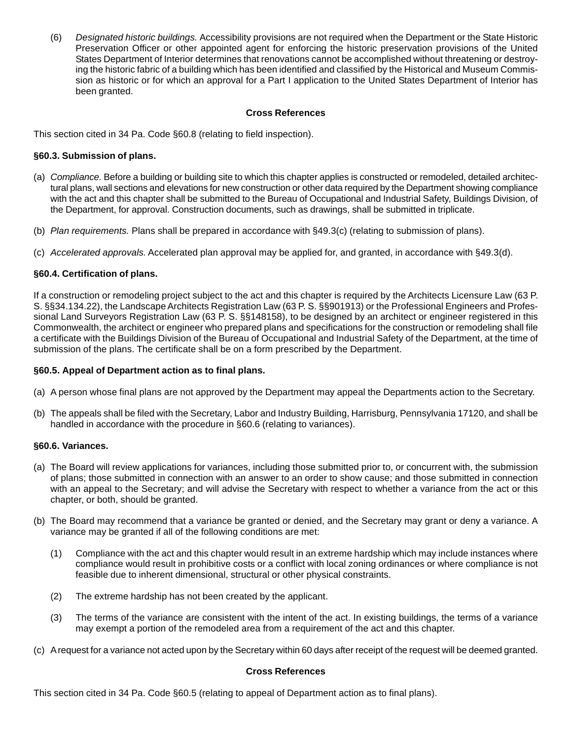<span id="page-5-0"></span>(6) Designated historic buildings. Accessibility provisions are not required when the Department or the State Historic Preservation Officer or other appointed agent for enforcing the historic preservation provisions of the United States Department of Interior determines that renovations cannot be accomplished without threatening or destroying the historic fabric of a building which has been identified and classified by the Historical and Museum Commission as historic or for which an approval for a Part I application to the United States Department of Interior has been granted.

#### **Cross References**

This section cited in 34 Pa. Code §60.8 (relating to field inspection).

#### **§60.3. Submission of plans.**

- (a) Compliance. Before a building or building site to which this chapter applies is constructed or remodeled, detailed architectural plans, wall sections and elevations for new construction or other data required by the Department showing compliance with the act and this chapter shall be submitted to the Bureau of Occupational and Industrial Safety, Buildings Division, of the Department, for approval. Construction documents, such as drawings, shall be submitted in triplicate.
- (b) Plan requirements. Plans shall be prepared in accordance with §49.3(c) (relating to submission of plans).
- (c) Accelerated approvals. Accelerated plan approval may be applied for, and granted, in accordance with §49.3(d).

#### **§60.4. Certification of plans.**

If a construction or remodeling project subject to the act and this chapter is required by the Architects Licensure Law (63 P. S. §§34.134.22), the Landscape Architects Registration Law (63 P. S. §§901913) or the Professional Engineers and Professional Land Surveyors Registration Law (63 P. S. §§148158), to be designed by an architect or engineer registered in this Commonwealth, the architect or engineer who prepared plans and specifications for the construction or remodeling shall file a certificate with the Buildings Division of the Bureau of Occupational and Industrial Safety of the Department, at the time of submission of the plans. The certificate shall be on a form prescribed by the Department.

#### **§60.5. Appeal of Department action as to final plans.**

- (a) A person whose final plans are not approved by the Department may appeal the Departments action to the Secretary.
- (b) The appeals shall be filed with the Secretary, Labor and Industry Building, Harrisburg, Pennsylvania 17120, and shall be handled in accordance with the procedure in §60.6 (relating to variances).

#### **§60.6. Variances.**

- (a) The Board will review applications for variances, including those submitted prior to, or concurrent with, the submission of plans; those submitted in connection with an answer to an order to show cause; and those submitted in connection with an appeal to the Secretary; and will advise the Secretary with respect to whether a variance from the act or this chapter, or both, should be granted.
- (b) The Board may recommend that a variance be granted or denied, and the Secretary may grant or deny a variance. A variance may be granted if all of the following conditions are met:
	- (1) Compliance with the act and this chapter would result in an extreme hardship which may include instances where compliance would result in prohibitive costs or a conflict with local zoning ordinances or where compliance is not feasible due to inherent dimensional, structural or other physical constraints.
	- (2) The extreme hardship has not been created by the applicant.
	- (3) The terms of the variance are consistent with the intent of the act. In existing buildings, the terms of a variance may exempt a portion of the remodeled area from a requirement of the act and this chapter.
- (c) A request for a variance not acted upon by the Secretary within 60 days after receipt of the request will be deemed granted.

#### **Cross References**

This section cited in 34 Pa. Code §60.5 (relating to appeal of Department action as to final plans).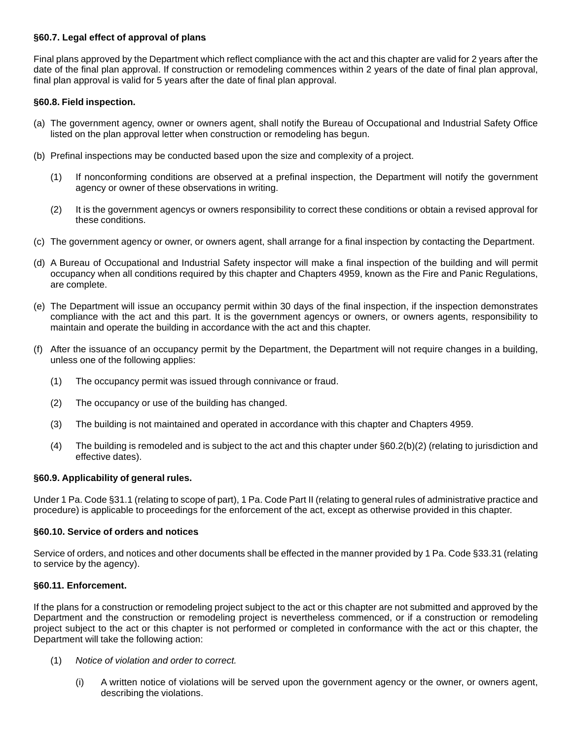#### <span id="page-6-0"></span> **Legal effect of approval of plans §60.7. .**

Final plans approved by the Department which reflect compliance with the act and this chapter are valid for 2 years after the date of the final plan approval. If construction or remodeling commences within 2 years of the date of final plan approval, final plan approval is valid for 5 years after the date of final plan approval.

#### **§60.8. Field inspection.**

- (a) The government agency, owner or owners agent, shall notify the Bureau of Occupational and Industrial Safety Office listed on the plan approval letter when construction or remodeling has begun.
- (b) Prefinal inspections may be conducted based upon the size and complexity of a project.
	- (1) If nonconforming conditions are observed at a prefinal inspection, the Department will notify the government agency or owner of these observations in writing.
	- (2) It is the government agencys or owners responsibility to correct these conditions or obtain a revised approval for these conditions.
- (c) The government agency or owner, or owners agent, shall arrange for a final inspection by contacting the Department.
- (d) A Bureau of Occupational and Industrial Safety inspector will make a final inspection of the building and will permit occupancy when all conditions required by this chapter and Chapters 4959, known as the Fire and Panic Regulations, are complete.
- (e) The Department will issue an occupancy permit within 30 days of the final inspection, if the inspection demonstrates compliance with the act and this part. It is the government agencys or owners, or owners agents, responsibility to maintain and operate the building in accordance with the act and this chapter.
- (f) After the issuance of an occupancy permit by the Department, the Department will not require changes in a building, unless one of the following applies:
	- (1) The occupancy permit was issued through connivance or fraud.
	- (2) The occupancy or use of the building has changed.
	- (3) The building is not maintained and operated in accordance with this chapter and Chapters 4959.
	- (4) The building is remodeled and is subject to the act and this chapter under §60.2(b)(2) (relating to jurisdiction and effective dates).

#### **§60.9. Applicability of general rules.**

Under 1 Pa. Code §31.1 (relating to scope of part), 1 Pa. Code Part II (relating to general rules of administrative practice and procedure) is applicable to proceedings for the enforcement of the act, except as otherwise provided in this chapter.

#### **§60.10. Service of orders and notices.**

Service of orders, and notices and other documents shall be effected in the manner provided by 1 Pa. Code §33.31 (relating to service by the agency).

#### **§60.11. Enforcement.**

If the plans for a construction or remodeling project subject to the act or this chapter are not submitted and approved by the Department and the construction or remodeling project is nevertheless commenced, or if a construction or remodeling project subject to the act or this chapter is not performed or completed in conformance with the act or this chapter, the Department will take the following action:

- (1) Notice of violation and order to correct.
	- (i) A written notice of violations will be served upon the government agency or the owner, or owners agent, describing the violations.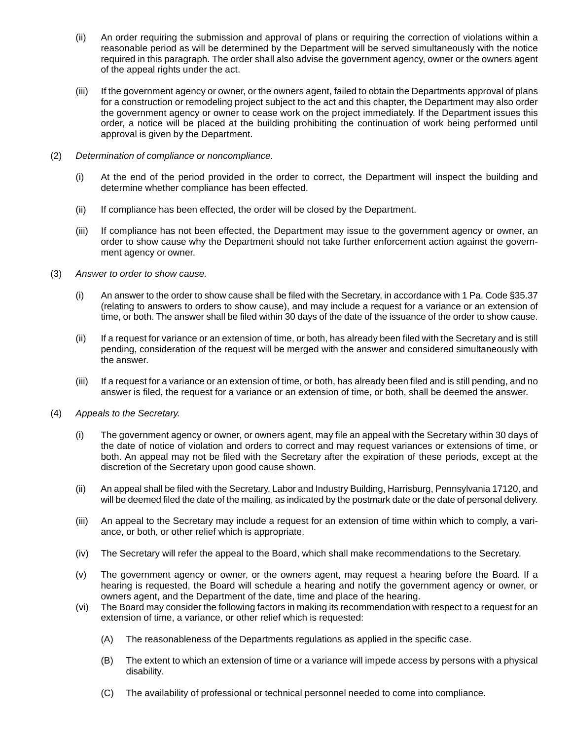- <span id="page-7-0"></span>(ii) An order requiring the submission and approval of plans or requiring the correction of violations within a reasonable period as will be determined by the Department will be served simultaneously with the notice required in this paragraph. The order shall also advise the government agency, owner or the owners agent of the appeal rights under the act.
- (iii) If the government agency or owner, or the owners agent, failed to obtain the Departments approval of plans for a construction or remodeling project subject to the act and this chapter, the Department may also order the government agency or owner to cease work on the project immediately. If the Department issues this order, a notice will be placed at the building prohibiting the continuation of work being performed until approval is given by the Department.
- (2) Determination of compliance or noncompliance.
	- (i) At the end of the period provided in the order to correct, the Department will inspect the building and determine whether compliance has been effected.
	- (ii) If compliance has been effected, the order will be closed by the Department.
	- (iii) If compliance has not been effected, the Department may issue to the government agency or owner, an order to show cause why the Department should not take further enforcement action against the government agency or owner.
- (3) Answer to order to show cause.
	- (i) An answer to the order to show cause shall be filed with the Secretary, in accordance with 1 Pa. Code §35.37 (relating to answers to orders to show cause), and may include a request for a variance or an extension of time, or both. The answer shall be filed within 30 days of the date of the issuance of the order to show cause.
	- (ii) If a request for variance or an extension of time, or both, has already been filed with the Secretary and is still pending, consideration of the request will be merged with the answer and considered simultaneously with the answer.
	- (iii) If a request for a variance or an extension of time, or both, has already been filed and is still pending, and no answer is filed, the request for a variance or an extension of time, or both, shall be deemed the answer.
- (4) Appeals to the Secretary.
	- (i) The government agency or owner, or owners agent, may file an appeal with the Secretary within 30 days of the date of notice of violation and orders to correct and may request variances or extensions of time, or both. An appeal may not be filed with the Secretary after the expiration of these periods, except at the discretion of the Secretary upon good cause shown.
	- (ii) An appeal shall be filed with the Secretary, Labor and Industry Building, Harrisburg, Pennsylvania 17120, and will be deemed filed the date of the mailing, as indicated by the postmark date or the date of personal delivery.
	- (iii) An appeal to the Secretary may include a request for an extension of time within which to comply, a variance, or both, or other relief which is appropriate.
	- (iv) The Secretary will refer the appeal to the Board, which shall make recommendations to the Secretary.
	- (v) The government agency or owner, or the owners agent, may request a hearing before the Board. If a hearing is requested, the Board will schedule a hearing and notify the government agency or owner, or owners agent, and the Department of the date, time and place of the hearing.
	- (vi) The Board may consider the following factors in making its recommendation with respect to a request for an extension of time, a variance, or other relief which is requested:
		- (A) The reasonableness of the Departments regulations as applied in the specific case.
		- (B) The extent to which an extension of time or a variance will impede access by persons with a physical disability.
		- (C) The availability of professional or technical personnel needed to come into compliance.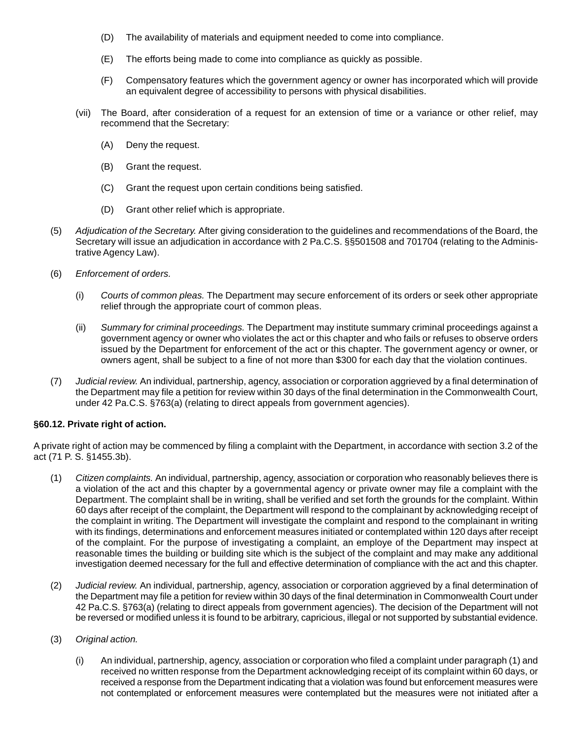- <span id="page-8-0"></span>(D) The availability of materials and equipment needed to come into compliance.
- (E) The efforts being made to come into compliance as quickly as possible.
- (F) Compensatory features which the government agency or owner has incorporated which will provide an equivalent degree of accessibility to persons with physical disabilities.
- (vii) The Board, after consideration of a request for an extension of time or a variance or other relief, may recommend that the Secretary:
	- (A) Deny the request.
	- (B) Grant the request.
	- (C) Grant the request upon certain conditions being satisfied.
	- (D) Grant other relief which is appropriate.
- (5) Adjudication of the Secretary. After giving consideration to the guidelines and recommendations of the Board, the Secretary will issue an adjudication in accordance with 2 Pa.C.S. §§501508 and 701704 (relating to the Administrative Agency Law).
- (6) Enforcement of orders.
	- (i) Courts of common pleas. The Department may secure enforcement of its orders or seek other appropriate relief through the appropriate court of common pleas.
	- (ii) Summary for criminal proceedings. The Department may institute summary criminal proceedings against a government agency or owner who violates the act or this chapter and who fails or refuses to observe orders issued by the Department for enforcement of the act or this chapter. The government agency or owner, or owners agent, shall be subject to a fine of not more than \$300 for each day that the violation continues.
- (7) Judicial review. An individual, partnership, agency, association or corporation aggrieved by a final determination of the Department may file a petition for review within 30 days of the final determination in the Commonwealth Court, under 42 Pa.C.S. §763(a) (relating to direct appeals from government agencies).

#### **§60.12. Private right of action.**

A private right of action may be commenced by filing a complaint with the Department, in accordance with section 3.2 of the act (71 P. S. §1455.3b).

- (1) Citizen complaints. An individual, partnership, agency, association or corporation who reasonably believes there is a violation of the act and this chapter by a governmental agency or private owner may file a complaint with the Department. The complaint shall be in writing, shall be verified and set forth the grounds for the complaint. Within 60 days after receipt of the complaint, the Department will respond to the complainant by acknowledging receipt of the complaint in writing. The Department will investigate the complaint and respond to the complainant in writing with its findings, determinations and enforcement measures initiated or contemplated within 120 days after receipt of the complaint. For the purpose of investigating a complaint, an employe of the Department may inspect at reasonable times the building or building site which is the subject of the complaint and may make any additional investigation deemed necessary for the full and effective determination of compliance with the act and this chapter.
- (2) Judicial review. An individual, partnership, agency, association or corporation aggrieved by a final determination of the Department may file a petition for review within 30 days of the final determination in Commonwealth Court under 42 Pa.C.S. §763(a) (relating to direct appeals from government agencies). The decision of the Department will not be reversed or modified unless it is found to be arbitrary, capricious, illegal or not supported by substantial evidence.
- (3) Original action.
	- (i) An individual, partnership, agency, association or corporation who filed a complaint under paragraph (1) and received no written response from the Department acknowledging receipt of its complaint within 60 days, or received a response from the Department indicating that a violation was found but enforcement measures were not contemplated or enforcement measures were contemplated but the measures were not initiated after a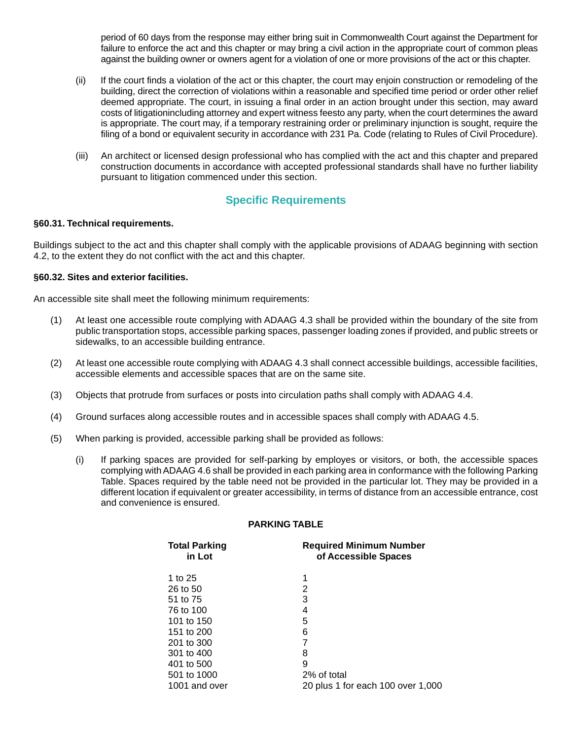<span id="page-9-0"></span>period of 60 days from the response may either bring suit in Commonwealth Court against the Department for failure to enforce the act and this chapter or may bring a civil action in the appropriate court of common pleas against the building owner or owners agent for a violation of one or more provisions of the act or this chapter.

- (ii) If the court finds a violation of the act or this chapter, the court may enjoin construction or remodeling of the building, direct the correction of violations within a reasonable and specified time period or order other relief deemed appropriate. The court, in issuing a final order in an action brought under this section, may award costs of litigationincluding attorney and expert witness feesto any party, when the court determines the award is appropriate. The court may, if a temporary restraining order or preliminary injunction is sought, require the filing of a bond or equivalent security in accordance with 231 Pa. Code (relating to Rules of Civil Procedure).
- (iii) An architect or licensed design professional who has complied with the act and this chapter and prepared construction documents in accordance with accepted professional standards shall have no further liability pursuant to litigation commenced under this section.

#### **Specific Requirements**

#### **§60.31. Technical requirements.**

Buildings subject to the act and this chapter shall comply with the applicable provisions of ADAAG beginning with section 4.2, to the extent they do not conflict with the act and this chapter.

#### **§60.32. Sites and exterior facilities.**

An accessible site shall meet the following minimum requirements:

- (1) At least one accessible route complying with ADAAG 4.3 shall be provided within the boundary of the site from public transportation stops, accessible parking spaces, passenger loading zones if provided, and public streets or sidewalks, to an accessible building entrance.
- (2) At least one accessible route complying with ADAAG 4.3 shall connect accessible buildings, accessible facilities, accessible elements and accessible spaces that are on the same site.
- (3) Objects that protrude from surfaces or posts into circulation paths shall comply with ADAAG 4.4.
- (4) Ground surfaces along accessible routes and in accessible spaces shall comply with ADAAG 4.5.
- (5) When parking is provided, accessible parking shall be provided as follows:
	- (i) If parking spaces are provided for self-parking by employes or visitors, or both, the accessible spaces complying with ADAAG 4.6 shall be provided in each parking area in conformance with the following Parking Table. Spaces required by the table need not be provided in the particular lot. They may be provided in a different location if equivalent or greater accessibility, in terms of distance from an accessible entrance, cost and convenience is ensured.

#### **PARKING TABLE**

| <b>Required Minimum Number</b><br>of Accessible Spaces |
|--------------------------------------------------------|
| 1                                                      |
| 2                                                      |
| 3                                                      |
| 4                                                      |
| 5                                                      |
| 6                                                      |
|                                                        |
| 8                                                      |
| 9                                                      |
| 2% of total                                            |
| 20 plus 1 for each 100 over 1,000                      |
|                                                        |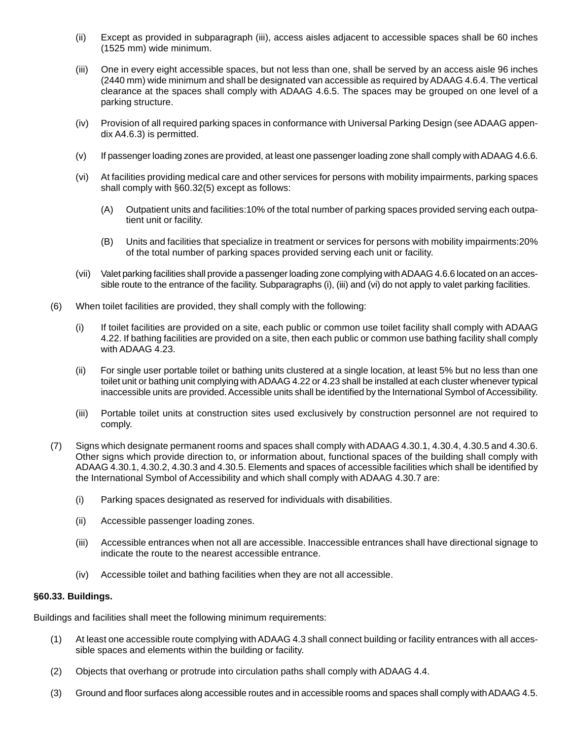- (ii) Except as provided in subparagraph (iii), access aisles adjacent to accessible spaces shall be 60 inches (1525 mm) wide minimum.
- (iii) One in every eight accessible spaces, but not less than one, shall be served by an access aisle 96 inches (2440 mm) wide minimum and shall be designated van accessible as required by ADAAG 4.6.4. The vertical clearance at the spaces shall comply with ADAAG 4.6.5. The spaces may be grouped on one level of a parking structure.
- (iv) Provision of all required parking spaces in conformance with Universal Parking Design (see ADAAG appendix A4.6.3) is permitted.
- (v) If passenger loading zones are provided, at least one passenger loading zone shall comply with ADAAG 4.6.6.
- (vi) At facilities providing medical care and other services for persons with mobility impairments, parking spaces shall comply with §60.32(5) except as follows:
	- (A) Outpatient units and facilities:10% of the total number of parking spaces provided serving each outpatient unit or facility.
	- (B) Units and facilities that specialize in treatment or services for persons with mobility impairments:20% of the total number of parking spaces provided serving each unit or facility.
- (vii) Valet parking facilities shall provide a passenger loading zone complying with ADAAG 4.6.6 located on an accessible route to the entrance of the facility. Subparagraphs (i), (iii) and (vi) do not apply to valet parking facilities.
- (6) When toilet facilities are provided, they shall comply with the following:
	- (i) If toilet facilities are provided on a site, each public or common use toilet facility shall comply with ADAAG 4.22. If bathing facilities are provided on a site, then each public or common use bathing facility shall comply with ADAAG 4.23.
	- (ii) For single user portable toilet or bathing units clustered at a single location, at least 5% but no less than one toilet unit or bathing unit complying with ADAAG 4.22 or 4.23 shall be installed at each cluster whenever typical inaccessible units are provided. Accessible units shall be identified by the International Symbol of Accessibility.
	- (iii) Portable toilet units at construction sites used exclusively by construction personnel are not required to comply.
- (7) Signs which designate permanent rooms and spaces shall comply with ADAAG 4.30.1, 4.30.4, 4.30.5 and 4.30.6. Other signs which provide direction to, or information about, functional spaces of the building shall comply with ADAAG 4.30.1, 4.30.2, 4.30.3 and 4.30.5. Elements and spaces of accessible facilities which shall be identified by the International Symbol of Accessibility and which shall comply with ADAAG 4.30.7 are:
	- (i) Parking spaces designated as reserved for individuals with disabilities.
	- (ii) Accessible passenger loading zones.
	- (iii) Accessible entrances when not all are accessible. Inaccessible entrances shall have directional signage to indicate the route to the nearest accessible entrance.
	- (iv) Accessible toilet and bathing facilities when they are not all accessible.

#### **§60.33. Buildings.**

Buildings and facilities shall meet the following minimum requirements:

- (1) At least one accessible route complying with ADAAG 4.3 shall connect building or facility entrances with all accessible spaces and elements within the building or facility.
- (2) Objects that overhang or protrude into circulation paths shall comply with ADAAG 4.4.
- (3) Ground and floor surfaces along accessible routes and in accessible rooms and spaces shall comply with ADAAG 4.5.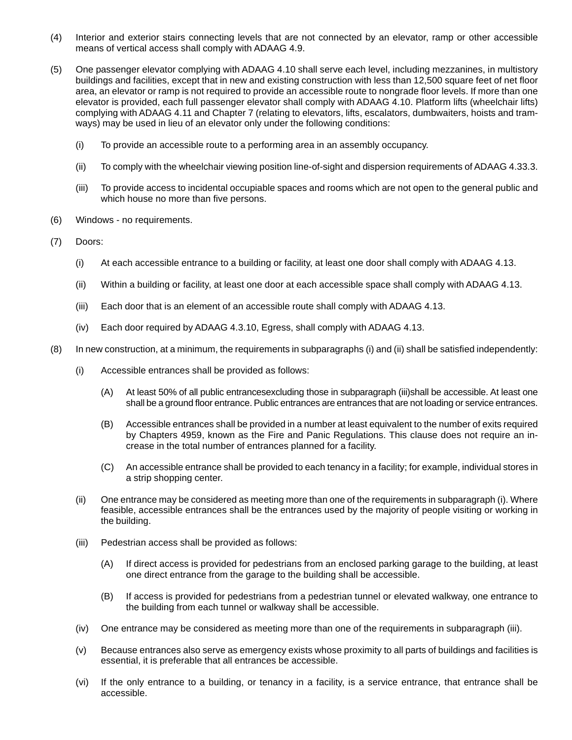- <span id="page-11-0"></span>(4) Interior and exterior stairs connecting levels that are not connected by an elevator, ramp or other accessible means of vertical access shall comply with ADAAG 4.9.
- (5) One passenger elevator complying with ADAAG 4.10 shall serve each level, including mezzanines, in multistory buildings and facilities, except that in new and existing construction with less than 12,500 square feet of net floor area, an elevator or ramp is not required to provide an accessible route to nongrade floor levels. If more than one elevator is provided, each full passenger elevator shall comply with ADAAG 4.10. Platform lifts (wheelchair lifts) complying with ADAAG 4.11 and Chapter 7 (relating to elevators, lifts, escalators, dumbwaiters, hoists and tramways) may be used in lieu of an elevator only under the following conditions:
	- (i) To provide an accessible route to a performing area in an assembly occupancy.
	- (ii) To comply with the wheelchair viewing position line-of-sight and dispersion requirements of ADAAG 4.33.3.
	- (iii) To provide access to incidental occupiable spaces and rooms which are not open to the general public and which house no more than five persons.
- (6) Windows no requirements.
- (7) Doors:
	- (i) At each accessible entrance to a building or facility, at least one door shall comply with ADAAG 4.13.
	- (ii) Within a building or facility, at least one door at each accessible space shall comply with ADAAG 4.13.
	- (iii) Each door that is an element of an accessible route shall comply with ADAAG 4.13.
	- (iv) Each door required by ADAAG 4.3.10, Egress, shall comply with ADAAG 4.13.
- (8) In new construction, at a minimum, the requirements in subparagraphs (i) and (ii) shall be satisfied independently:
	- (i) Accessible entrances shall be provided as follows:
		- (A) At least 50% of all public entrancesexcluding those in subparagraph (iii)shall be accessible. At least one shall be a ground floor entrance. Public entrances are entrances that are not loading or service entrances.
		- (B) Accessible entrances shall be provided in a number at least equivalent to the number of exits required by Chapters 4959, known as the Fire and Panic Regulations. This clause does not require an increase in the total number of entrances planned for a facility.
		- (C) An accessible entrance shall be provided to each tenancy in a facility; for example, individual stores in a strip shopping center.
	- (ii) One entrance may be considered as meeting more than one of the requirements in subparagraph (i). Where feasible, accessible entrances shall be the entrances used by the majority of people visiting or working in the building.
	- (iii) Pedestrian access shall be provided as follows:
		- (A) If direct access is provided for pedestrians from an enclosed parking garage to the building, at least one direct entrance from the garage to the building shall be accessible.
		- (B) If access is provided for pedestrians from a pedestrian tunnel or elevated walkway, one entrance to the building from each tunnel or walkway shall be accessible.
	- (iv) One entrance may be considered as meeting more than one of the requirements in subparagraph (iii).
	- (v) Because entrances also serve as emergency exists whose proximity to all parts of buildings and facilities is essential, it is preferable that all entrances be accessible.
	- (vi) If the only entrance to a building, or tenancy in a facility, is a service entrance, that entrance shall be accessible.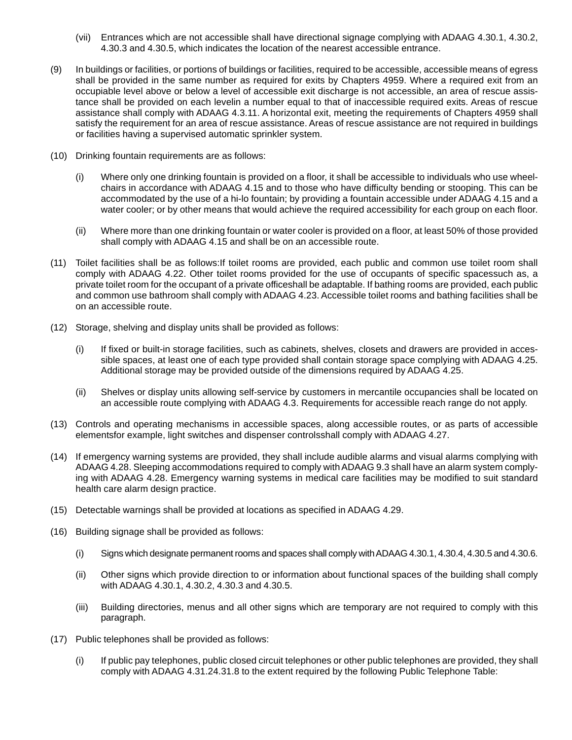- (vii) Entrances which are not accessible shall have directional signage complying with ADAAG 4.30.1, 4.30.2, 4.30.3 and 4.30.5, which indicates the location of the nearest accessible entrance.
- (9) In buildings or facilities, or portions of buildings or facilities, required to be accessible, accessible means of egress shall be provided in the same number as required for exits by Chapters 4959. Where a required exit from an occupiable level above or below a level of accessible exit discharge is not accessible, an area of rescue assistance shall be provided on each levelin a number equal to that of inaccessible required exits. Areas of rescue assistance shall comply with ADAAG 4.3.11. A horizontal exit, meeting the requirements of Chapters 4959 shall satisfy the requirement for an area of rescue assistance. Areas of rescue assistance are not required in buildings or facilities having a supervised automatic sprinkler system.
- (10) Drinking fountain requirements are as follows:
	- (i) Where only one drinking fountain is provided on a floor, it shall be accessible to individuals who use wheelchairs in accordance with ADAAG 4.15 and to those who have difficulty bending or stooping. This can be accommodated by the use of a hi-lo fountain; by providing a fountain accessible under ADAAG 4.15 and a water cooler; or by other means that would achieve the required accessibility for each group on each floor.
	- (ii) Where more than one drinking fountain or water cooler is provided on a floor, at least 50% of those provided shall comply with ADAAG 4.15 and shall be on an accessible route.
- (11) Toilet facilities shall be as follows:If toilet rooms are provided, each public and common use toilet room shall comply with ADAAG 4.22. Other toilet rooms provided for the use of occupants of specific spacessuch as, a private toilet room for the occupant of a private officeshall be adaptable. If bathing rooms are provided, each public and common use bathroom shall comply with ADAAG 4.23. Accessible toilet rooms and bathing facilities shall be on an accessible route.
- (12) Storage, shelving and display units shall be provided as follows:
	- (i) If fixed or built-in storage facilities, such as cabinets, shelves, closets and drawers are provided in accessible spaces, at least one of each type provided shall contain storage space complying with ADAAG 4.25. Additional storage may be provided outside of the dimensions required by ADAAG 4.25.
	- (ii) Shelves or display units allowing self-service by customers in mercantile occupancies shall be located on an accessible route complying with ADAAG 4.3. Requirements for accessible reach range do not apply.
- (13) Controls and operating mechanisms in accessible spaces, along accessible routes, or as parts of accessible elementsfor example, light switches and dispenser controlsshall comply with ADAAG 4.27.
- (14) If emergency warning systems are provided, they shall include audible alarms and visual alarms complying with ADAAG 4.28. Sleeping accommodations required to comply with ADAAG 9.3 shall have an alarm system complying with ADAAG 4.28. Emergency warning systems in medical care facilities may be modified to suit standard health care alarm design practice.
- (15) Detectable warnings shall be provided at locations as specified in ADAAG 4.29.
- (16) Building signage shall be provided as follows:
	- (i) Signs which designate permanent rooms and spaces shall comply with ADAAG 4.30.1, 4.30.4, 4.30.5 and 4.30.6.
	- (ii) Other signs which provide direction to or information about functional spaces of the building shall comply with ADAAG 4.30.1, 4.30.2, 4.30.3 and 4.30.5.
	- (iii) Building directories, menus and all other signs which are temporary are not required to comply with this paragraph.
- (17) Public telephones shall be provided as follows:
	- (i) If public pay telephones, public closed circuit telephones or other public telephones are provided, they shall comply with ADAAG 4.31.24.31.8 to the extent required by the following Public Telephone Table: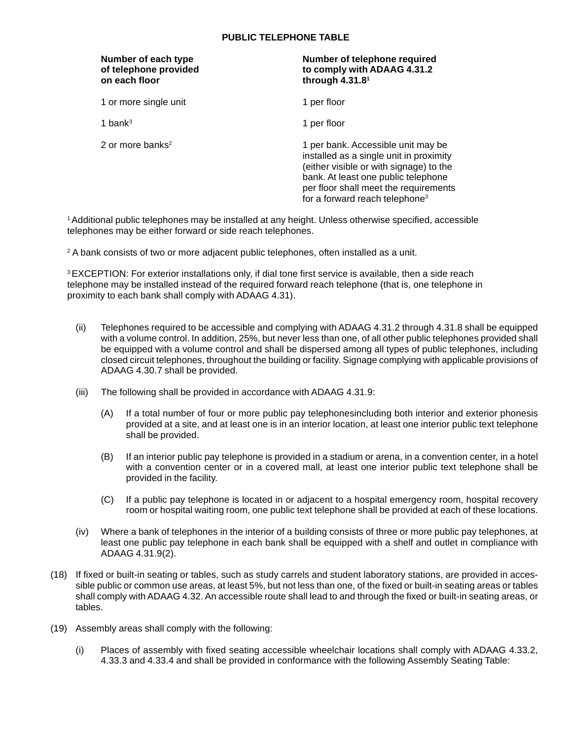#### **PUBLIC TELEPHONE TABLE**

# **on each floor** through 4.31.8<sup>1</sup>

### **Number of each type Number of telephone required of telephone provided to comply with ADAAG 4.31.2**

1 or more single unit 1 per floor

1 bank<sup>3</sup> 1 per floor

2 or more banks<sup>2</sup> and the same of the set of the 1 per bank. Accessible unit may be installed as a single unit in proximity (either visible or with signage) to the bank. At least one public telephone per floor shall meet the requirements for a forward reach telephone<sup>3</sup>

1 Additional public telephones may be installed at any height. Unless otherwise specified, accessible telephones may be either forward or side reach telephones.

 $2A$  bank consists of two or more adjacent public telephones, often installed as a unit.

<sup>3</sup> EXCEPTION: For exterior installations only, if dial tone first service is available, then a side reach telephone may be installed instead of the required forward reach telephone (that is, one telephone in proximity to each bank shall comply with ADAAG 4.31).

- (ii) Telephones required to be accessible and complying with ADAAG 4.31.2 through 4.31.8 shall be equipped with a volume control. In addition, 25%, but never less than one, of all other public telephones provided shall be equipped with a volume control and shall be dispersed among all types of public telephones, including closed circuit telephones, throughout the building or facility. Signage complying with applicable provisions of ADAAG 4.30.7 shall be provided.
- (iii) The following shall be provided in accordance with ADAAG 4.31.9:
	- (A) If a total number of four or more public pay telephonesincluding both interior and exterior phonesis provided at a site, and at least one is in an interior location, at least one interior public text telephone shall be provided.
	- (B) If an interior public pay telephone is provided in a stadium or arena, in a convention center, in a hotel with a convention center or in a covered mall, at least one interior public text telephone shall be provided in the facility.
	- (C) If a public pay telephone is located in or adjacent to a hospital emergency room, hospital recovery room or hospital waiting room, one public text telephone shall be provided at each of these locations.
- (iv) Where a bank of telephones in the interior of a building consists of three or more public pay telephones, at least one public pay telephone in each bank shall be equipped with a shelf and outlet in compliance with ADAAG 4.31.9(2).
- (18) If fixed or built-in seating or tables, such as study carrels and student laboratory stations, are provided in accessible public or common use areas, at least 5%, but not less than one, of the fixed or built-in seating areas or tables shall comply with ADAAG 4.32. An accessible route shall lead to and through the fixed or built-in seating areas, or tables.
- (19) Assembly areas shall comply with the following:
	- (i) Places of assembly with fixed seating accessible wheelchair locations shall comply with ADAAG 4.33.2, 4.33.3 and 4.33.4 and shall be provided in conformance with the following Assembly Seating Table: